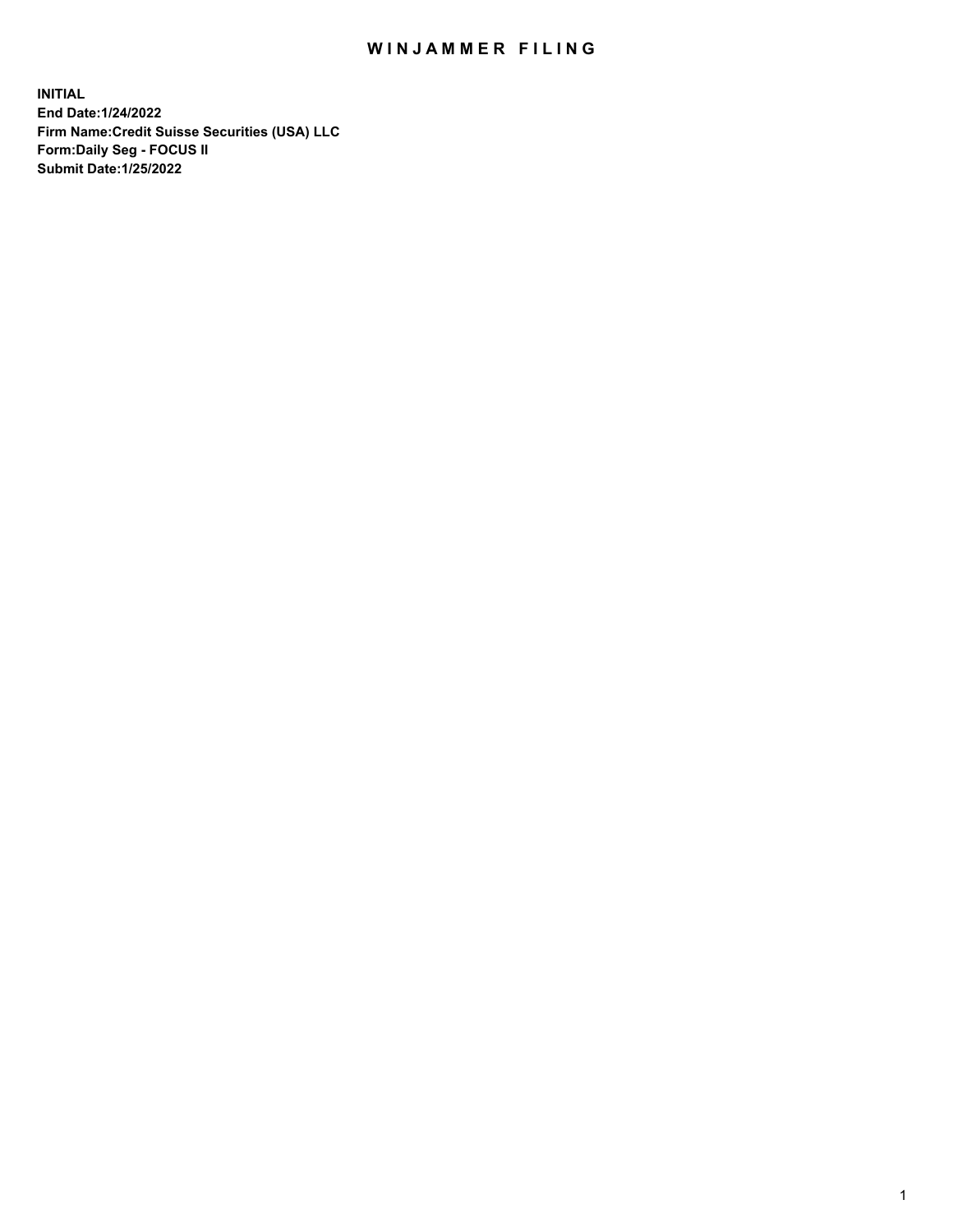## WIN JAMMER FILING

**INITIAL End Date:1/24/2022 Firm Name:Credit Suisse Securities (USA) LLC Form:Daily Seg - FOCUS II Submit Date:1/25/2022**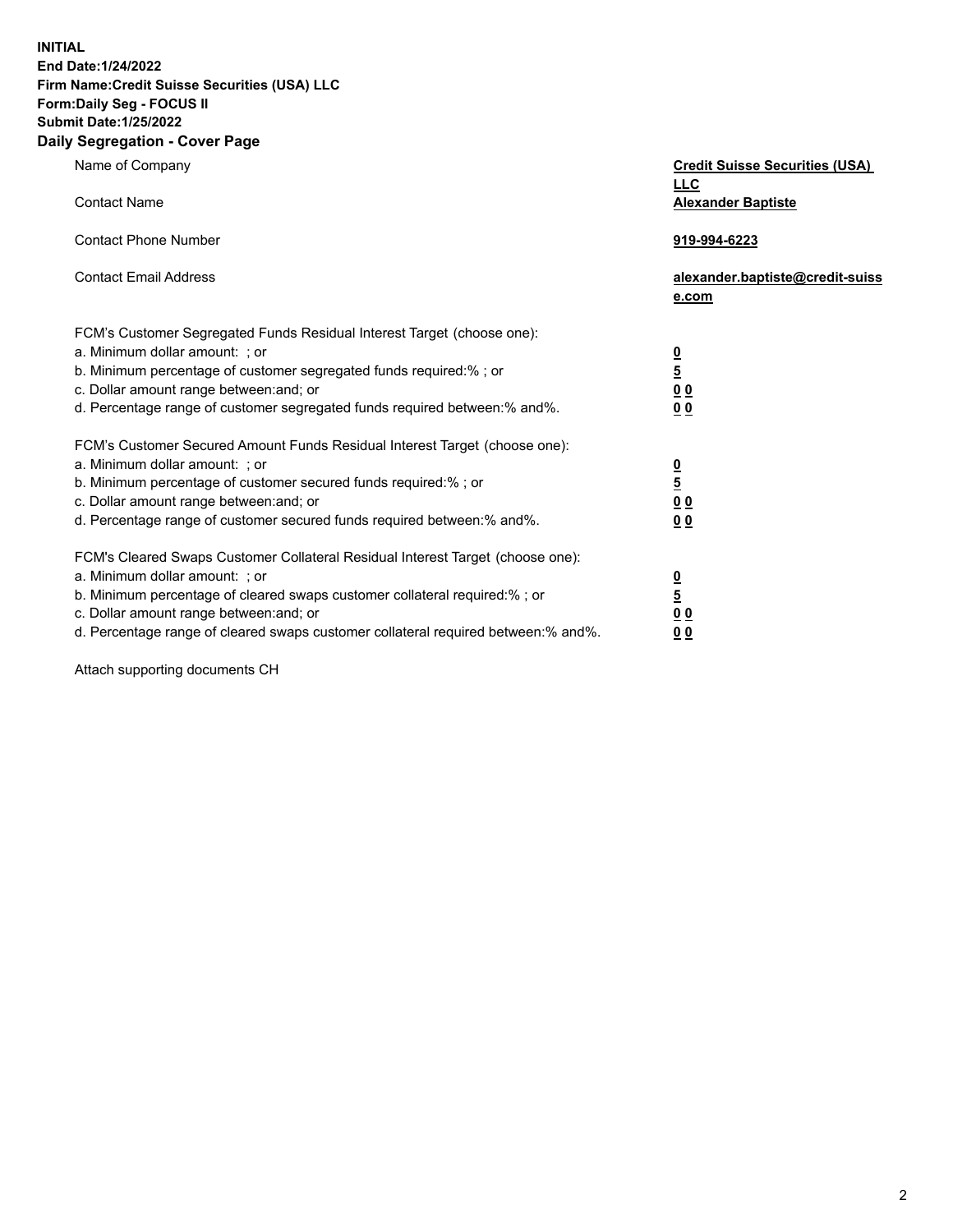**INITIAL End Date:1/24/2022** 

## **Firm Name:Credit Suisse Securities (USA) LLC Form:Daily Seg - FOCUS II Submit Date:1/25/2022**

## **Daily Segregation - Cover Page**

| Name of Company                                                                                                                                                                                                                                                                                                                | <b>Credit Suisse Securities (USA)</b><br><b>LLC</b>                |
|--------------------------------------------------------------------------------------------------------------------------------------------------------------------------------------------------------------------------------------------------------------------------------------------------------------------------------|--------------------------------------------------------------------|
| <b>Contact Name</b>                                                                                                                                                                                                                                                                                                            | <b>Alexander Baptiste</b>                                          |
| <b>Contact Phone Number</b>                                                                                                                                                                                                                                                                                                    | 919-994-6223                                                       |
| <b>Contact Email Address</b>                                                                                                                                                                                                                                                                                                   | alexander.baptiste@credit-suiss<br>e.com                           |
| FCM's Customer Segregated Funds Residual Interest Target (choose one):<br>a. Minimum dollar amount: ; or<br>b. Minimum percentage of customer segregated funds required:% ; or<br>c. Dollar amount range between: and; or<br>d. Percentage range of customer segregated funds required between:% and%.                         | $\frac{0}{\frac{5}{0}}$<br>0 <sub>0</sub>                          |
| FCM's Customer Secured Amount Funds Residual Interest Target (choose one):<br>a. Minimum dollar amount: ; or<br>b. Minimum percentage of customer secured funds required:%; or<br>c. Dollar amount range between: and; or<br>d. Percentage range of customer secured funds required between:% and%.                            | $\frac{0}{5}$<br>$\underline{0}$ $\underline{0}$<br>0 <sub>0</sub> |
| FCM's Cleared Swaps Customer Collateral Residual Interest Target (choose one):<br>a. Minimum dollar amount: ; or<br>b. Minimum percentage of cleared swaps customer collateral required:% ; or<br>c. Dollar amount range between: and; or<br>d. Percentage range of cleared swaps customer collateral required between:% and%. | $\frac{0}{5}$<br>0 <sub>0</sub><br>0 <sub>0</sub>                  |

Attach supporting documents CH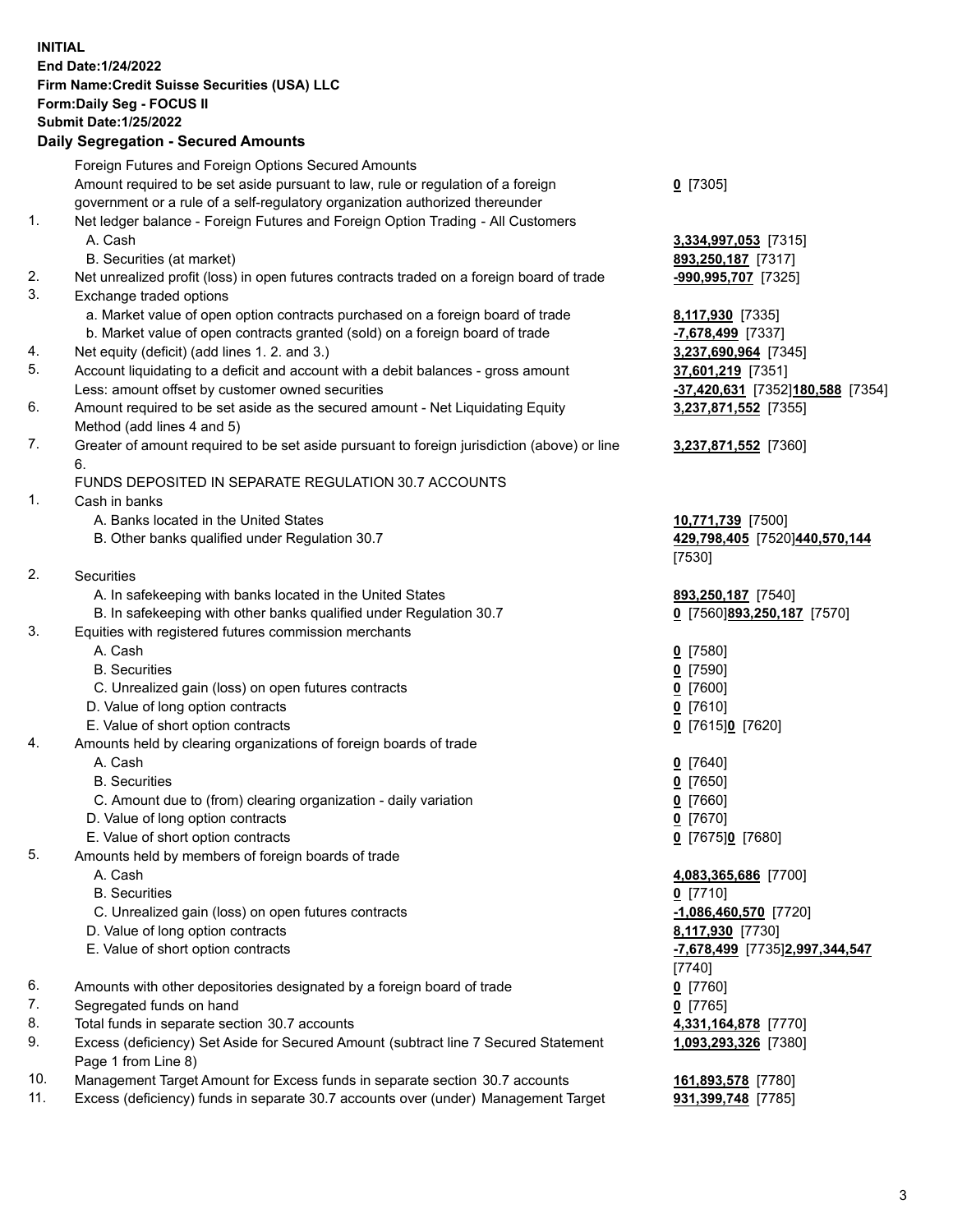**INITIAL End Date:1/24/2022 Firm Name:Credit Suisse Securities (USA) LLC Form:Daily Seg - FOCUS II Submit Date:1/25/2022** 

## **Daily Segregation - Secured Amounts**

|     | Foreign Futures and Foreign Options Secured Amounts                                                  |                                                    |
|-----|------------------------------------------------------------------------------------------------------|----------------------------------------------------|
|     | Amount required to be set aside pursuant to law, rule or regulation of a foreign                     | $0$ [7305]                                         |
|     | government or a rule of a self-regulatory organization authorized thereunder                         |                                                    |
| 1.  | Net ledger balance - Foreign Futures and Foreign Option Trading - All Customers                      |                                                    |
|     | A. Cash                                                                                              | 3,334,997,053 [7315]                               |
|     | B. Securities (at market)                                                                            | 893,250,187 [7317]                                 |
| 2.  | Net unrealized profit (loss) in open futures contracts traded on a foreign board of trade            | -990,995,707 [7325]                                |
| 3.  | Exchange traded options                                                                              |                                                    |
|     | a. Market value of open option contracts purchased on a foreign board of trade                       | 8,117,930 [7335]                                   |
|     | b. Market value of open contracts granted (sold) on a foreign board of trade                         | -7,678,499 [7337]                                  |
| 4.  | Net equity (deficit) (add lines 1. 2. and 3.)                                                        | 3,237,690,964 [7345]                               |
| 5.  | Account liquidating to a deficit and account with a debit balances - gross amount                    | 37,601,219 [7351]                                  |
|     | Less: amount offset by customer owned securities                                                     | -37,420,631 [7352]180,588 [7354]                   |
| 6.  | Amount required to be set aside as the secured amount - Net Liquidating Equity                       | 3,237,871,552 [7355]                               |
|     | Method (add lines 4 and 5)                                                                           |                                                    |
| 7.  | Greater of amount required to be set aside pursuant to foreign jurisdiction (above) or line          | 3,237,871,552 [7360]                               |
|     | 6.                                                                                                   |                                                    |
|     | FUNDS DEPOSITED IN SEPARATE REGULATION 30.7 ACCOUNTS                                                 |                                                    |
| 1.  | Cash in banks                                                                                        |                                                    |
|     | A. Banks located in the United States                                                                | 10,771,739 [7500]                                  |
|     | B. Other banks qualified under Regulation 30.7                                                       | 429,798,405 [7520]440,570,144                      |
|     |                                                                                                      | [7530]                                             |
| 2.  | <b>Securities</b>                                                                                    |                                                    |
|     | A. In safekeeping with banks located in the United States                                            | 893,250,187 [7540]                                 |
|     | B. In safekeeping with other banks qualified under Regulation 30.7                                   | 0 [7560]893,250,187 [7570]                         |
| 3.  | Equities with registered futures commission merchants                                                |                                                    |
|     | A. Cash                                                                                              | $0$ [7580]                                         |
|     | <b>B.</b> Securities                                                                                 | $0$ [7590]                                         |
|     | C. Unrealized gain (loss) on open futures contracts                                                  | $0$ [7600]                                         |
|     | D. Value of long option contracts                                                                    | $0$ [7610]                                         |
| 4.  | E. Value of short option contracts                                                                   | 0 [7615]0 [7620]                                   |
|     | Amounts held by clearing organizations of foreign boards of trade                                    |                                                    |
|     | A. Cash<br><b>B.</b> Securities                                                                      | $0$ [7640]<br>$0$ [7650]                           |
|     |                                                                                                      |                                                    |
|     | C. Amount due to (from) clearing organization - daily variation<br>D. Value of long option contracts | $0$ [7660]                                         |
|     |                                                                                                      | $0$ [7670]                                         |
| 5.  | E. Value of short option contracts                                                                   | 0 [7675]0 [7680]                                   |
|     | Amounts held by members of foreign boards of trade<br>A. Cash                                        |                                                    |
|     | <b>B.</b> Securities                                                                                 | 4,083,365,686 [7700]                               |
|     | C. Unrealized gain (loss) on open futures contracts                                                  | $0$ [7710]                                         |
|     | D. Value of long option contracts                                                                    | $-1,086,460,570$ [7720]                            |
|     | E. Value of short option contracts                                                                   | 8,117,930 [7730]<br>-7,678,499 [7735]2,997,344,547 |
|     |                                                                                                      | [7740]                                             |
| 6.  | Amounts with other depositories designated by a foreign board of trade                               | $0$ [7760]                                         |
| 7.  |                                                                                                      |                                                    |
| 8.  | Segregated funds on hand<br>Total funds in separate section 30.7 accounts                            | $0$ [7765]<br>4,331,164,878 [7770]                 |
| 9.  | Excess (deficiency) Set Aside for Secured Amount (subtract line 7 Secured Statement                  | 1,093,293,326 [7380]                               |
|     | Page 1 from Line 8)                                                                                  |                                                    |
| 10. | Management Target Amount for Excess funds in separate section 30.7 accounts                          | 161,893,578 [7780]                                 |
| 11. | Excess (deficiency) funds in separate 30.7 accounts over (under) Management Target                   | 931,399,748 [7785]                                 |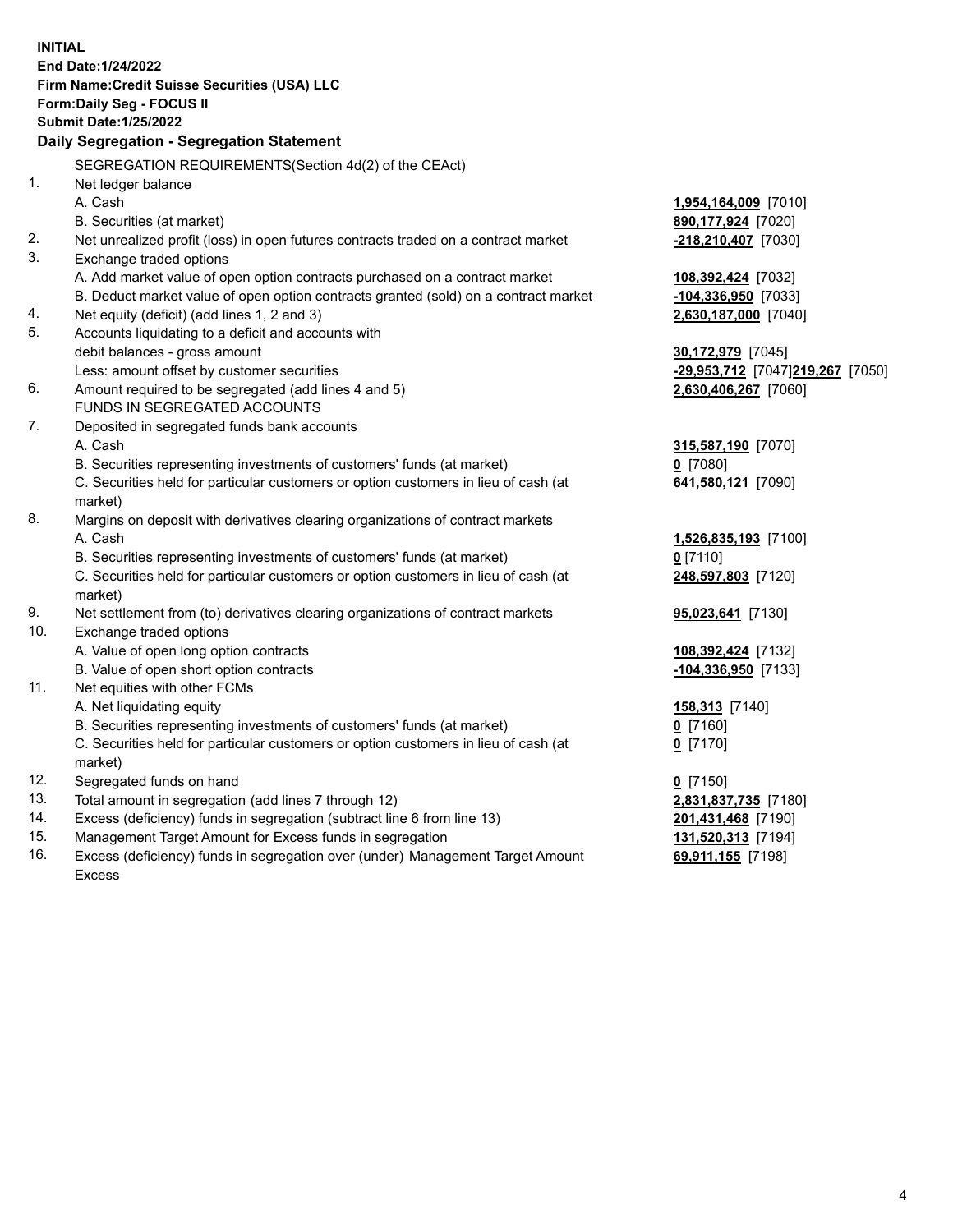15. Management Target Amount for Excess funds in segregation **131,520,313** [7194] 16. Excess (deficiency) funds in segregation over (under) Management Target Amount **69,911,155** [7198] **INITIAL End Date:1/24/2022 Firm Name:Credit Suisse Securities (USA) LLC Form:Daily Seg - FOCUS II Submit Date:1/25/2022 Daily Segregation - Segregation Statement**  SEGREGATION REQUIREMENTS(Section 4d(2) of the CEAct) 1. Net ledger balance A. Cash **1,954,164,009** [7010] B. Securities (at market) **890,177,924** [7020] 2. Net unrealized profit (loss) in open futures contracts traded on a contract market **-218,210,407** [7030] 3. Exchange traded options A. Add market value of open option contracts purchased on a contract market **108,392,424** [7032] B. Deduct market value of open option contracts granted (sold) on a contract market **-104,336,950** [7033] 4. Net equity (deficit) (add lines 1, 2 and 3) **2,630,187,000** [7040] 5. Accounts liquidating to a deficit and accounts with debit balances - gross amount **30,172,979** [7045] Less: amount offset by customer securities **-29,953,712** [7047] **219,267** [7050] 6. Amount required to be segregated (add lines 4 and 5) **2,630,406,267** [7060] FUNDS IN SEGREGATED ACCOUNTS 7. Deposited in segregated funds bank accounts A. Cash **315,587,190** [7070] B. Securities representing investments of customers' funds (at market) **0** [7080] C. Securities held for particular customers or option customers in lieu of cash (at **641,580,121** [7090] market) 8. Margins on deposit with derivatives clearing organizations of contract markets A. Cash **1,526,835,193** [7100] B. Securities representing investments of customers' funds (at market) **0** [7110] C. Securities held for particular customers or option customers in lieu of cash (at **248,597,803** [7120] market) 9. Net settlement from (to) derivatives clearing organizations of contract markets **95,023,641** [7130] 10. Exchange traded options A. Value of open long option contracts **108,392,424** [7132] B. Value of open short option contracts **-104,336,950** [7133] 11. Net equities with other FCMs A. Net liquidating equity **158,313** [7140] B. Securities representing investments of customers' funds (at market) **0** [7160] C. Securities held for particular customers or option customers in lieu of cash (at **0** [7170] market) 12. Segregated funds on hand **0** [7150] 13. Total amount in segregation (add lines 7 through 12) **2,831,837,735** [7180] 14. Excess (deficiency) funds in segregation (subtract line 6 from line 13) **201,431,468** [7190]

Excess